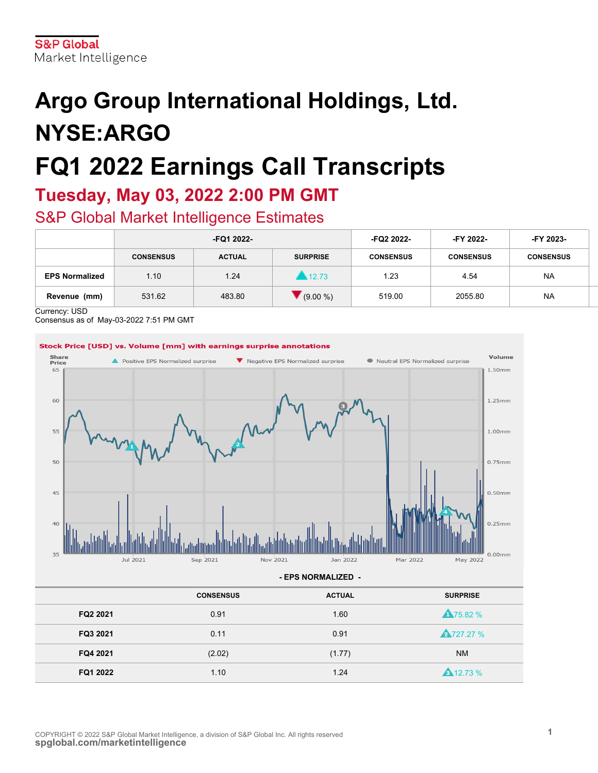# **Argo Group International Holdings, Ltd. NYSE:ARGO FQ1 2022 Earnings Call Transcripts**

### **Tuesday, May 03, 2022 2:00 PM GMT**

### S&P Global Market Intelligence Estimates

|                       | -FQ1 2022-       |               |                 | -FQ2 2022-       | -FY 2022-        | -FY 2023-        |
|-----------------------|------------------|---------------|-----------------|------------------|------------------|------------------|
|                       | <b>CONSENSUS</b> | <b>ACTUAL</b> | <b>SURPRISE</b> | <b>CONSENSUS</b> | <b>CONSENSUS</b> | <b>CONSENSUS</b> |
| <b>EPS Normalized</b> | 1.10             | 1.24          | 12.73           | 1.23             | 4.54             | <b>NA</b>        |
| Revenue<br>(mm)       | 531.62           | 483.80        | $(9.00\%)$      | 519.00           | 2055.80          | <b>NA</b>        |

Currency: USD

Consensus as of May-03-2022 7:51 PM GMT

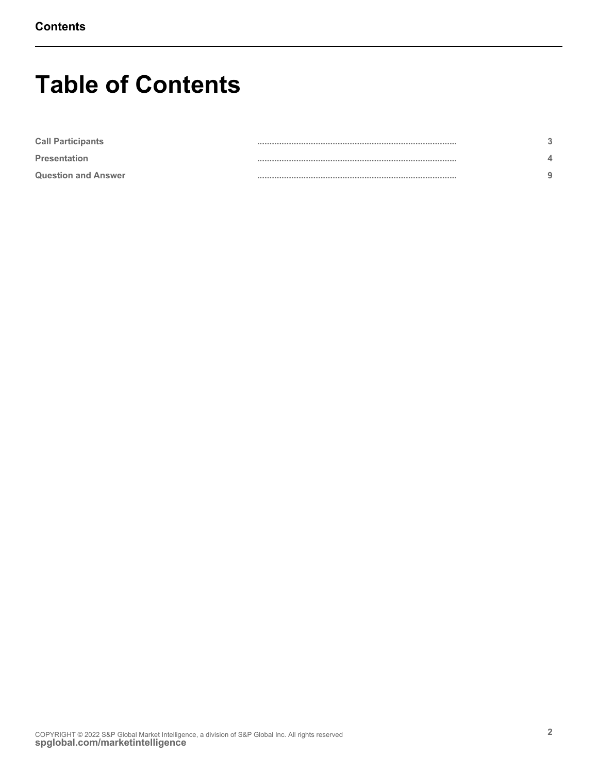### **Table of Contents**

| <b>Call Participants</b>   |  |
|----------------------------|--|
| <b>Presentation</b>        |  |
| <b>Question and Answer</b> |  |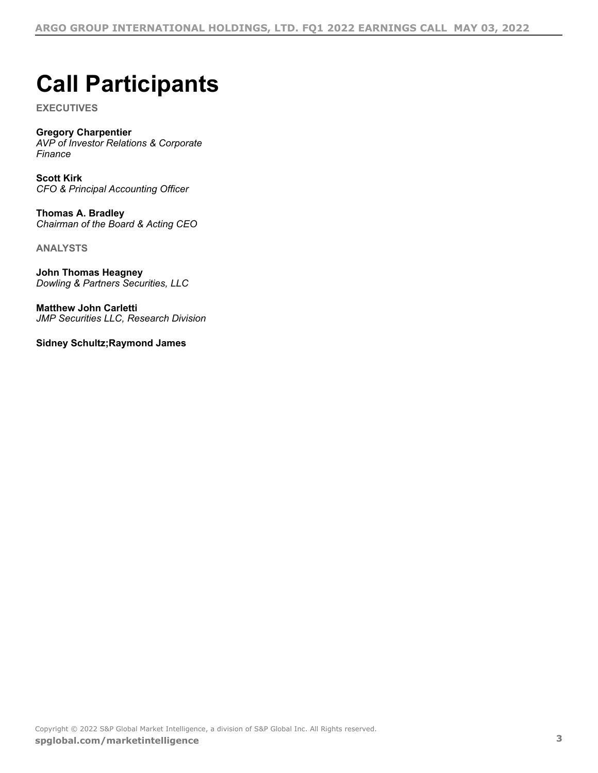## <span id="page-2-0"></span>**Call Participants**

**EXECUTIVES**

### **Gregory Charpentier**

*AVP of Investor Relations & Corporate Finance*

**Scott Kirk** *CFO & Principal Accounting Officer*

**Thomas A. Bradley** *Chairman of the Board & Acting CEO*

**ANALYSTS**

**John Thomas Heagney** *Dowling & Partners Securities, LLC*

**Matthew John Carletti** *JMP Securities LLC, Research Division*

**Sidney Schultz;Raymond James**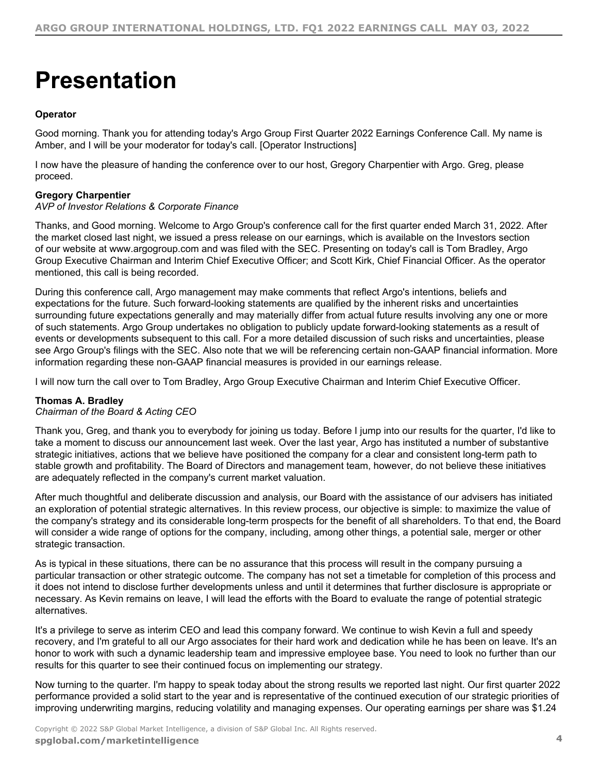## <span id="page-3-0"></span>**Presentation**

#### **Operator**

Good morning. Thank you for attending today's Argo Group First Quarter 2022 Earnings Conference Call. My name is Amber, and I will be your moderator for today's call. [Operator Instructions]

I now have the pleasure of handing the conference over to our host, Gregory Charpentier with Argo. Greg, please proceed.

#### **Gregory Charpentier**

#### *AVP of Investor Relations & Corporate Finance*

Thanks, and Good morning. Welcome to Argo Group's conference call for the first quarter ended March 31, 2022. After the market closed last night, we issued a press release on our earnings, which is available on the Investors section of our website at www.argogroup.com and was filed with the SEC. Presenting on today's call is Tom Bradley, Argo Group Executive Chairman and Interim Chief Executive Officer; and Scott Kirk, Chief Financial Officer. As the operator mentioned, this call is being recorded.

During this conference call, Argo management may make comments that reflect Argo's intentions, beliefs and expectations for the future. Such forward-looking statements are qualified by the inherent risks and uncertainties surrounding future expectations generally and may materially differ from actual future results involving any one or more of such statements. Argo Group undertakes no obligation to publicly update forward-looking statements as a result of events or developments subsequent to this call. For a more detailed discussion of such risks and uncertainties, please see Argo Group's filings with the SEC. Also note that we will be referencing certain non-GAAP financial information. More information regarding these non-GAAP financial measures is provided in our earnings release.

I will now turn the call over to Tom Bradley, Argo Group Executive Chairman and Interim Chief Executive Officer.

#### **Thomas A. Bradley**

#### *Chairman of the Board & Acting CEO*

Thank you, Greg, and thank you to everybody for joining us today. Before I jump into our results for the quarter, I'd like to take a moment to discuss our announcement last week. Over the last year, Argo has instituted a number of substantive strategic initiatives, actions that we believe have positioned the company for a clear and consistent long-term path to stable growth and profitability. The Board of Directors and management team, however, do not believe these initiatives are adequately reflected in the company's current market valuation.

After much thoughtful and deliberate discussion and analysis, our Board with the assistance of our advisers has initiated an exploration of potential strategic alternatives. In this review process, our objective is simple: to maximize the value of the company's strategy and its considerable long-term prospects for the benefit of all shareholders. To that end, the Board will consider a wide range of options for the company, including, among other things, a potential sale, merger or other strategic transaction.

As is typical in these situations, there can be no assurance that this process will result in the company pursuing a particular transaction or other strategic outcome. The company has not set a timetable for completion of this process and it does not intend to disclose further developments unless and until it determines that further disclosure is appropriate or necessary. As Kevin remains on leave, I will lead the efforts with the Board to evaluate the range of potential strategic alternatives.

It's a privilege to serve as interim CEO and lead this company forward. We continue to wish Kevin a full and speedy recovery, and I'm grateful to all our Argo associates for their hard work and dedication while he has been on leave. It's an honor to work with such a dynamic leadership team and impressive employee base. You need to look no further than our results for this quarter to see their continued focus on implementing our strategy.

Now turning to the quarter. I'm happy to speak today about the strong results we reported last night. Our first quarter 2022 performance provided a solid start to the year and is representative of the continued execution of our strategic priorities of improving underwriting margins, reducing volatility and managing expenses. Our operating earnings per share was \$1.24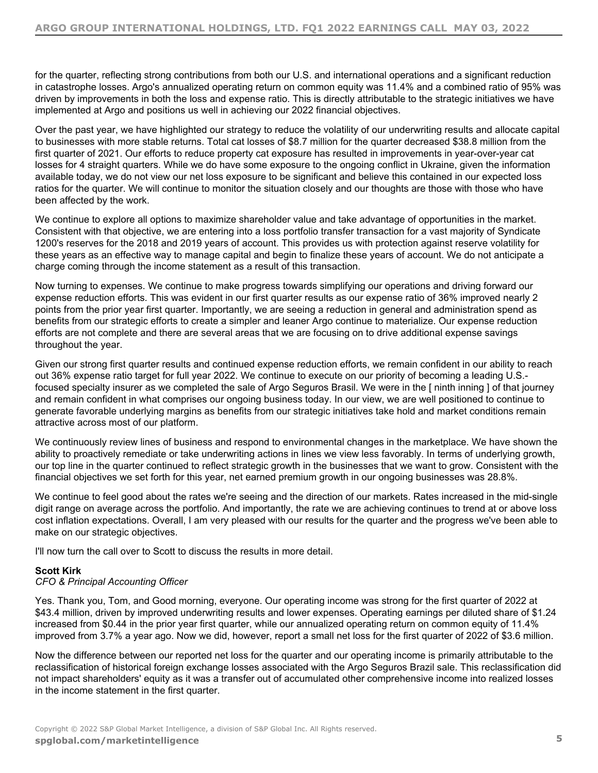for the quarter, reflecting strong contributions from both our U.S. and international operations and a significant reduction in catastrophe losses. Argo's annualized operating return on common equity was 11.4% and a combined ratio of 95% was driven by improvements in both the loss and expense ratio. This is directly attributable to the strategic initiatives we have implemented at Argo and positions us well in achieving our 2022 financial objectives.

Over the past year, we have highlighted our strategy to reduce the volatility of our underwriting results and allocate capital to businesses with more stable returns. Total cat losses of \$8.7 million for the quarter decreased \$38.8 million from the first quarter of 2021. Our efforts to reduce property cat exposure has resulted in improvements in year-over-year cat losses for 4 straight quarters. While we do have some exposure to the ongoing conflict in Ukraine, given the information available today, we do not view our net loss exposure to be significant and believe this contained in our expected loss ratios for the quarter. We will continue to monitor the situation closely and our thoughts are those with those who have been affected by the work.

We continue to explore all options to maximize shareholder value and take advantage of opportunities in the market. Consistent with that objective, we are entering into a loss portfolio transfer transaction for a vast majority of Syndicate 1200's reserves for the 2018 and 2019 years of account. This provides us with protection against reserve volatility for these years as an effective way to manage capital and begin to finalize these years of account. We do not anticipate a charge coming through the income statement as a result of this transaction.

Now turning to expenses. We continue to make progress towards simplifying our operations and driving forward our expense reduction efforts. This was evident in our first quarter results as our expense ratio of 36% improved nearly 2 points from the prior year first quarter. Importantly, we are seeing a reduction in general and administration spend as benefits from our strategic efforts to create a simpler and leaner Argo continue to materialize. Our expense reduction efforts are not complete and there are several areas that we are focusing on to drive additional expense savings throughout the year.

Given our strong first quarter results and continued expense reduction efforts, we remain confident in our ability to reach out 36% expense ratio target for full year 2022. We continue to execute on our priority of becoming a leading U.S. focused specialty insurer as we completed the sale of Argo Seguros Brasil. We were in the [ ninth inning ] of that journey and remain confident in what comprises our ongoing business today. In our view, we are well positioned to continue to generate favorable underlying margins as benefits from our strategic initiatives take hold and market conditions remain attractive across most of our platform.

We continuously review lines of business and respond to environmental changes in the marketplace. We have shown the ability to proactively remediate or take underwriting actions in lines we view less favorably. In terms of underlying growth, our top line in the quarter continued to reflect strategic growth in the businesses that we want to grow. Consistent with the financial objectives we set forth for this year, net earned premium growth in our ongoing businesses was 28.8%.

We continue to feel good about the rates we're seeing and the direction of our markets. Rates increased in the mid-single digit range on average across the portfolio. And importantly, the rate we are achieving continues to trend at or above loss cost inflation expectations. Overall, I am very pleased with our results for the quarter and the progress we've been able to make on our strategic objectives.

I'll now turn the call over to Scott to discuss the results in more detail.

#### **Scott Kirk**

#### *CFO & Principal Accounting Officer*

Yes. Thank you, Tom, and Good morning, everyone. Our operating income was strong for the first quarter of 2022 at \$43.4 million, driven by improved underwriting results and lower expenses. Operating earnings per diluted share of \$1.24 increased from \$0.44 in the prior year first quarter, while our annualized operating return on common equity of 11.4% improved from 3.7% a year ago. Now we did, however, report a small net loss for the first quarter of 2022 of \$3.6 million.

Now the difference between our reported net loss for the quarter and our operating income is primarily attributable to the reclassification of historical foreign exchange losses associated with the Argo Seguros Brazil sale. This reclassification did not impact shareholders' equity as it was a transfer out of accumulated other comprehensive income into realized losses in the income statement in the first quarter.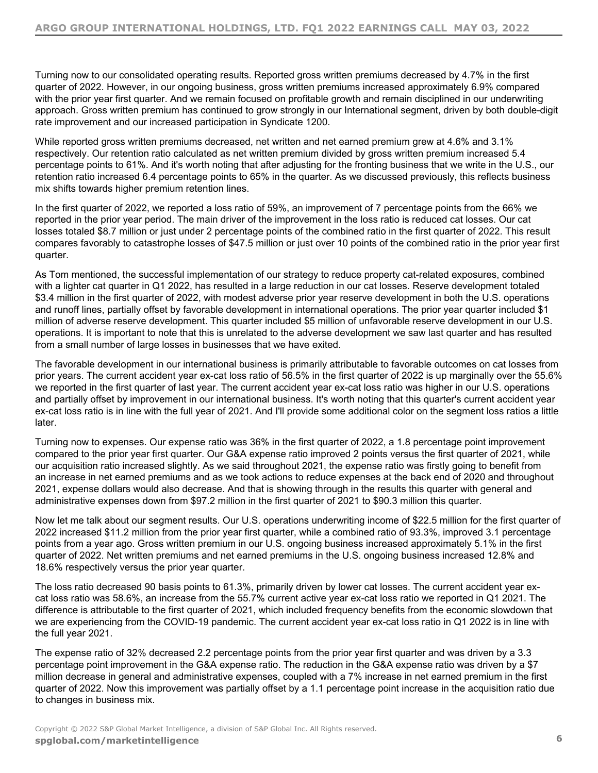Turning now to our consolidated operating results. Reported gross written premiums decreased by 4.7% in the first quarter of 2022. However, in our ongoing business, gross written premiums increased approximately 6.9% compared with the prior year first quarter. And we remain focused on profitable growth and remain disciplined in our underwriting approach. Gross written premium has continued to grow strongly in our International segment, driven by both double-digit rate improvement and our increased participation in Syndicate 1200.

While reported gross written premiums decreased, net written and net earned premium grew at 4.6% and 3.1% respectively. Our retention ratio calculated as net written premium divided by gross written premium increased 5.4 percentage points to 61%. And it's worth noting that after adjusting for the fronting business that we write in the U.S., our retention ratio increased 6.4 percentage points to 65% in the quarter. As we discussed previously, this reflects business mix shifts towards higher premium retention lines.

In the first quarter of 2022, we reported a loss ratio of 59%, an improvement of 7 percentage points from the 66% we reported in the prior year period. The main driver of the improvement in the loss ratio is reduced cat losses. Our cat losses totaled \$8.7 million or just under 2 percentage points of the combined ratio in the first quarter of 2022. This result compares favorably to catastrophe losses of \$47.5 million or just over 10 points of the combined ratio in the prior year first quarter.

As Tom mentioned, the successful implementation of our strategy to reduce property cat-related exposures, combined with a lighter cat quarter in Q1 2022, has resulted in a large reduction in our cat losses. Reserve development totaled \$3.4 million in the first quarter of 2022, with modest adverse prior year reserve development in both the U.S. operations and runoff lines, partially offset by favorable development in international operations. The prior year quarter included \$1 million of adverse reserve development. This quarter included \$5 million of unfavorable reserve development in our U.S. operations. It is important to note that this is unrelated to the adverse development we saw last quarter and has resulted from a small number of large losses in businesses that we have exited.

The favorable development in our international business is primarily attributable to favorable outcomes on cat losses from prior years. The current accident year ex-cat loss ratio of 56.5% in the first quarter of 2022 is up marginally over the 55.6% we reported in the first quarter of last year. The current accident year ex-cat loss ratio was higher in our U.S. operations and partially offset by improvement in our international business. It's worth noting that this quarter's current accident year ex-cat loss ratio is in line with the full year of 2021. And I'll provide some additional color on the segment loss ratios a little later.

Turning now to expenses. Our expense ratio was 36% in the first quarter of 2022, a 1.8 percentage point improvement compared to the prior year first quarter. Our G&A expense ratio improved 2 points versus the first quarter of 2021, while our acquisition ratio increased slightly. As we said throughout 2021, the expense ratio was firstly going to benefit from an increase in net earned premiums and as we took actions to reduce expenses at the back end of 2020 and throughout 2021, expense dollars would also decrease. And that is showing through in the results this quarter with general and administrative expenses down from \$97.2 million in the first quarter of 2021 to \$90.3 million this quarter.

Now let me talk about our segment results. Our U.S. operations underwriting income of \$22.5 million for the first quarter of 2022 increased \$11.2 million from the prior year first quarter, while a combined ratio of 93.3%, improved 3.1 percentage points from a year ago. Gross written premium in our U.S. ongoing business increased approximately 5.1% in the first quarter of 2022. Net written premiums and net earned premiums in the U.S. ongoing business increased 12.8% and 18.6% respectively versus the prior year quarter.

The loss ratio decreased 90 basis points to 61.3%, primarily driven by lower cat losses. The current accident year excat loss ratio was 58.6%, an increase from the 55.7% current active year ex-cat loss ratio we reported in Q1 2021. The difference is attributable to the first quarter of 2021, which included frequency benefits from the economic slowdown that we are experiencing from the COVID-19 pandemic. The current accident year ex-cat loss ratio in Q1 2022 is in line with the full year 2021.

The expense ratio of 32% decreased 2.2 percentage points from the prior year first quarter and was driven by a 3.3 percentage point improvement in the G&A expense ratio. The reduction in the G&A expense ratio was driven by a \$7 million decrease in general and administrative expenses, coupled with a 7% increase in net earned premium in the first quarter of 2022. Now this improvement was partially offset by a 1.1 percentage point increase in the acquisition ratio due to changes in business mix.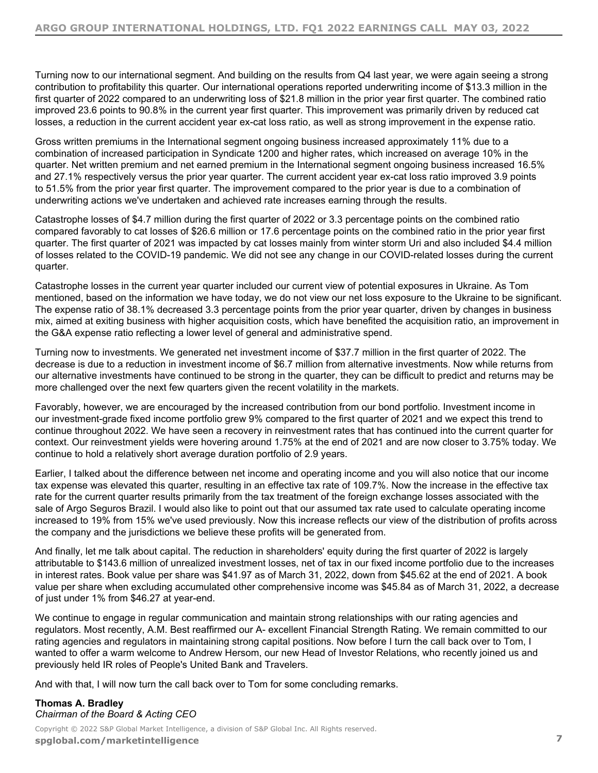Turning now to our international segment. And building on the results from Q4 last year, we were again seeing a strong contribution to profitability this quarter. Our international operations reported underwriting income of \$13.3 million in the first quarter of 2022 compared to an underwriting loss of \$21.8 million in the prior year first quarter. The combined ratio improved 23.6 points to 90.8% in the current year first quarter. This improvement was primarily driven by reduced cat losses, a reduction in the current accident year ex-cat loss ratio, as well as strong improvement in the expense ratio.

Gross written premiums in the International segment ongoing business increased approximately 11% due to a combination of increased participation in Syndicate 1200 and higher rates, which increased on average 10% in the quarter. Net written premium and net earned premium in the International segment ongoing business increased 16.5% and 27.1% respectively versus the prior year quarter. The current accident year ex-cat loss ratio improved 3.9 points to 51.5% from the prior year first quarter. The improvement compared to the prior year is due to a combination of underwriting actions we've undertaken and achieved rate increases earning through the results.

Catastrophe losses of \$4.7 million during the first quarter of 2022 or 3.3 percentage points on the combined ratio compared favorably to cat losses of \$26.6 million or 17.6 percentage points on the combined ratio in the prior year first quarter. The first quarter of 2021 was impacted by cat losses mainly from winter storm Uri and also included \$4.4 million of losses related to the COVID-19 pandemic. We did not see any change in our COVID-related losses during the current quarter.

Catastrophe losses in the current year quarter included our current view of potential exposures in Ukraine. As Tom mentioned, based on the information we have today, we do not view our net loss exposure to the Ukraine to be significant. The expense ratio of 38.1% decreased 3.3 percentage points from the prior year quarter, driven by changes in business mix, aimed at exiting business with higher acquisition costs, which have benefited the acquisition ratio, an improvement in the G&A expense ratio reflecting a lower level of general and administrative spend.

Turning now to investments. We generated net investment income of \$37.7 million in the first quarter of 2022. The decrease is due to a reduction in investment income of \$6.7 million from alternative investments. Now while returns from our alternative investments have continued to be strong in the quarter, they can be difficult to predict and returns may be more challenged over the next few quarters given the recent volatility in the markets.

Favorably, however, we are encouraged by the increased contribution from our bond portfolio. Investment income in our investment-grade fixed income portfolio grew 9% compared to the first quarter of 2021 and we expect this trend to continue throughout 2022. We have seen a recovery in reinvestment rates that has continued into the current quarter for context. Our reinvestment yields were hovering around 1.75% at the end of 2021 and are now closer to 3.75% today. We continue to hold a relatively short average duration portfolio of 2.9 years.

Earlier, I talked about the difference between net income and operating income and you will also notice that our income tax expense was elevated this quarter, resulting in an effective tax rate of 109.7%. Now the increase in the effective tax rate for the current quarter results primarily from the tax treatment of the foreign exchange losses associated with the sale of Argo Seguros Brazil. I would also like to point out that our assumed tax rate used to calculate operating income increased to 19% from 15% we've used previously. Now this increase reflects our view of the distribution of profits across the company and the jurisdictions we believe these profits will be generated from.

And finally, let me talk about capital. The reduction in shareholders' equity during the first quarter of 2022 is largely attributable to \$143.6 million of unrealized investment losses, net of tax in our fixed income portfolio due to the increases in interest rates. Book value per share was \$41.97 as of March 31, 2022, down from \$45.62 at the end of 2021. A book value per share when excluding accumulated other comprehensive income was \$45.84 as of March 31, 2022, a decrease of just under 1% from \$46.27 at year-end.

We continue to engage in regular communication and maintain strong relationships with our rating agencies and regulators. Most recently, A.M. Best reaffirmed our A- excellent Financial Strength Rating. We remain committed to our rating agencies and regulators in maintaining strong capital positions. Now before I turn the call back over to Tom, I wanted to offer a warm welcome to Andrew Hersom, our new Head of Investor Relations, who recently joined us and previously held IR roles of People's United Bank and Travelers.

And with that, I will now turn the call back over to Tom for some concluding remarks.

#### **Thomas A. Bradley** *Chairman of the Board & Acting CEO*

Copyright © 2022 S&P Global Market Intelligence, a division of S&P Global Inc. All Rights reserved. **[spglobal.com/marketintelligen](https://marketintelligence.spglobal.com/)ce 7**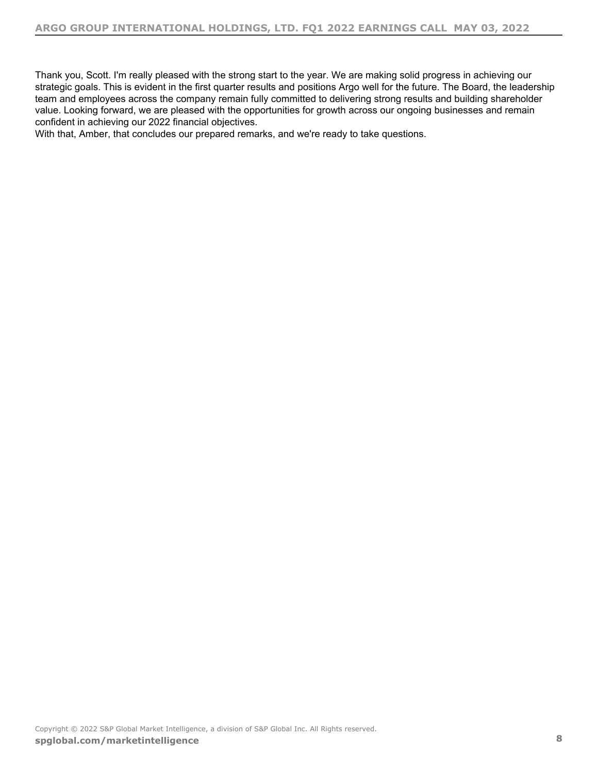Thank you, Scott. I'm really pleased with the strong start to the year. We are making solid progress in achieving our strategic goals. This is evident in the first quarter results and positions Argo well for the future. The Board, the leadership team and employees across the company remain fully committed to delivering strong results and building shareholder value. Looking forward, we are pleased with the opportunities for growth across our ongoing businesses and remain confident in achieving our 2022 financial objectives.

With that, Amber, that concludes our prepared remarks, and we're ready to take questions.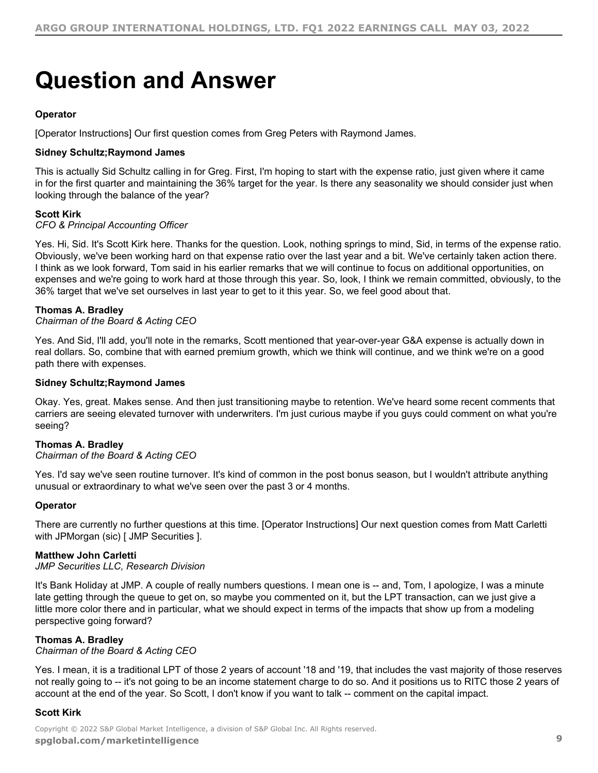## <span id="page-8-0"></span>**Question and Answer**

#### **Operator**

[Operator Instructions] Our first question comes from Greg Peters with Raymond James.

#### **Sidney Schultz;Raymond James**

This is actually Sid Schultz calling in for Greg. First, I'm hoping to start with the expense ratio, just given where it came in for the first quarter and maintaining the 36% target for the year. Is there any seasonality we should consider just when looking through the balance of the year?

#### **Scott Kirk**

*CFO & Principal Accounting Officer*

Yes. Hi, Sid. It's Scott Kirk here. Thanks for the question. Look, nothing springs to mind, Sid, in terms of the expense ratio. Obviously, we've been working hard on that expense ratio over the last year and a bit. We've certainly taken action there. I think as we look forward, Tom said in his earlier remarks that we will continue to focus on additional opportunities, on expenses and we're going to work hard at those through this year. So, look, I think we remain committed, obviously, to the 36% target that we've set ourselves in last year to get to it this year. So, we feel good about that.

#### **Thomas A. Bradley**

*Chairman of the Board & Acting CEO*

Yes. And Sid, I'll add, you'll note in the remarks, Scott mentioned that year-over-year G&A expense is actually down in real dollars. So, combine that with earned premium growth, which we think will continue, and we think we're on a good path there with expenses.

#### **Sidney Schultz;Raymond James**

Okay. Yes, great. Makes sense. And then just transitioning maybe to retention. We've heard some recent comments that carriers are seeing elevated turnover with underwriters. I'm just curious maybe if you guys could comment on what you're seeing?

#### **Thomas A. Bradley**

#### *Chairman of the Board & Acting CEO*

Yes. I'd say we've seen routine turnover. It's kind of common in the post bonus season, but I wouldn't attribute anything unusual or extraordinary to what we've seen over the past 3 or 4 months.

#### **Operator**

There are currently no further questions at this time. [Operator Instructions] Our next question comes from Matt Carletti with JPMorgan (sic) [ JMP Securities ].

#### **Matthew John Carletti**

*JMP Securities LLC, Research Division*

It's Bank Holiday at JMP. A couple of really numbers questions. I mean one is -- and, Tom, I apologize, I was a minute late getting through the queue to get on, so maybe you commented on it, but the LPT transaction, can we just give a little more color there and in particular, what we should expect in terms of the impacts that show up from a modeling perspective going forward?

#### **Thomas A. Bradley**

*Chairman of the Board & Acting CEO*

Yes. I mean, it is a traditional LPT of those 2 years of account '18 and '19, that includes the vast majority of those reserves not really going to -- it's not going to be an income statement charge to do so. And it positions us to RITC those 2 years of account at the end of the year. So Scott, I don't know if you want to talk -- comment on the capital impact.

#### **Scott Kirk**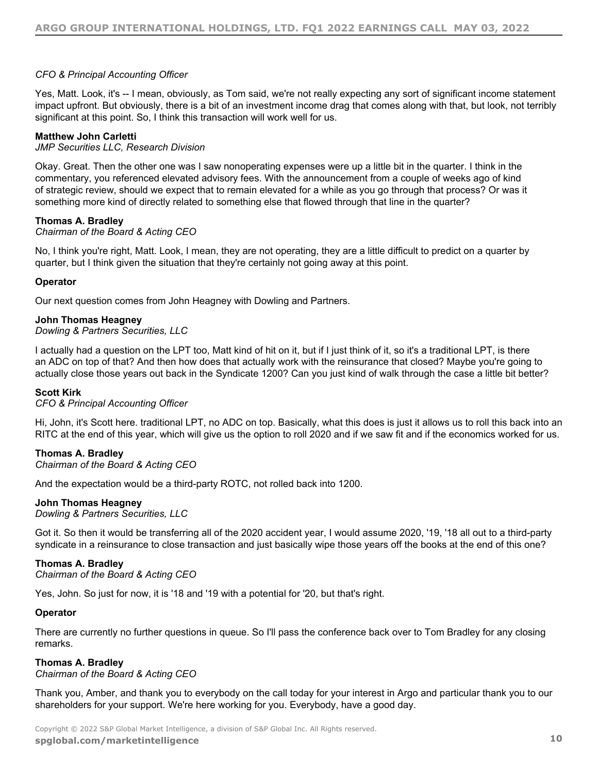#### *CFO & Principal Accounting Officer*

Yes, Matt. Look, it's -- I mean, obviously, as Tom said, we're not really expecting any sort of significant income statement impact upfront. But obviously, there is a bit of an investment income drag that comes along with that, but look, not terribly significant at this point. So, I think this transaction will work well for us.

#### **Matthew John Carletti**

#### *JMP Securities LLC, Research Division*

Okay. Great. Then the other one was I saw nonoperating expenses were up a little bit in the quarter. I think in the commentary, you referenced elevated advisory fees. With the announcement from a couple of weeks ago of kind of strategic review, should we expect that to remain elevated for a while as you go through that process? Or was it something more kind of directly related to something else that flowed through that line in the quarter?

#### **Thomas A. Bradley**

#### *Chairman of the Board & Acting CEO*

No, I think you're right, Matt. Look, I mean, they are not operating, they are a little difficult to predict on a quarter by quarter, but I think given the situation that they're certainly not going away at this point.

#### **Operator**

Our next question comes from John Heagney with Dowling and Partners.

#### **John Thomas Heagney**

#### *Dowling & Partners Securities, LLC*

I actually had a question on the LPT too, Matt kind of hit on it, but if I just think of it, so it's a traditional LPT, is there an ADC on top of that? And then how does that actually work with the reinsurance that closed? Maybe you're going to actually close those years out back in the Syndicate 1200? Can you just kind of walk through the case a little bit better?

#### **Scott Kirk**

#### *CFO & Principal Accounting Officer*

Hi, John, it's Scott here. traditional LPT, no ADC on top. Basically, what this does is just it allows us to roll this back into an RITC at the end of this year, which will give us the option to roll 2020 and if we saw fit and if the economics worked for us.

#### **Thomas A. Bradley**

#### *Chairman of the Board & Acting CEO*

And the expectation would be a third-party ROTC, not rolled back into 1200.

#### **John Thomas Heagney**

*Dowling & Partners Securities, LLC*

Got it. So then it would be transferring all of the 2020 accident year, I would assume 2020, '19, '18 all out to a third-party syndicate in a reinsurance to close transaction and just basically wipe those years off the books at the end of this one?

#### **Thomas A. Bradley**

*Chairman of the Board & Acting CEO*

Yes, John. So just for now, it is '18 and '19 with a potential for '20, but that's right.

#### **Operator**

There are currently no further questions in queue. So I'll pass the conference back over to Tom Bradley for any closing remarks.

#### **Thomas A. Bradley**

#### *Chairman of the Board & Acting CEO*

Thank you, Amber, and thank you to everybody on the call today for your interest in Argo and particular thank you to our shareholders for your support. We're here working for you. Everybody, have a good day.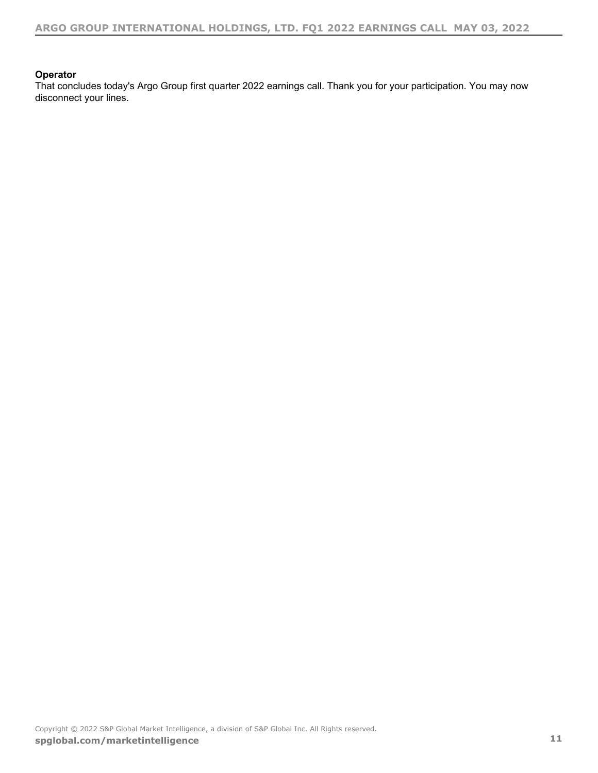#### **Operator**

That concludes today's Argo Group first quarter 2022 earnings call. Thank you for your participation. You may now disconnect your lines.